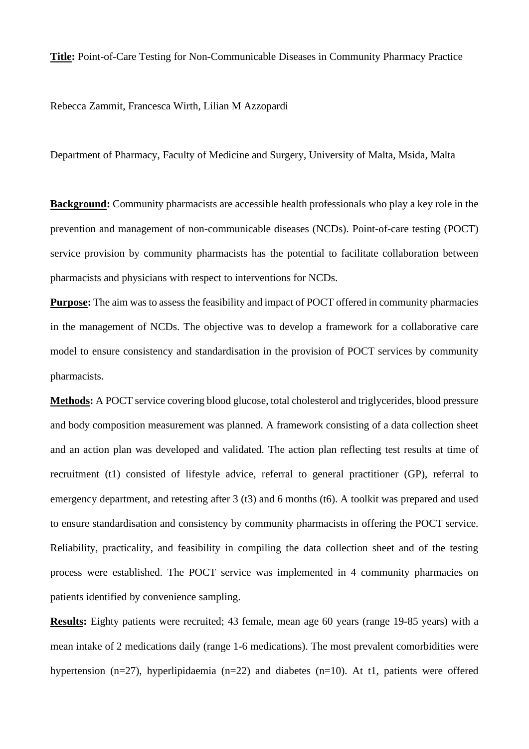**Title:** Point-of-Care Testing for Non-Communicable Diseases in Community Pharmacy Practice

Rebecca Zammit, Francesca Wirth, Lilian M Azzopardi

Department of Pharmacy, Faculty of Medicine and Surgery, University of Malta, Msida, Malta

**Background:** Community pharmacists are accessible health professionals who play a key role in the prevention and management of non-communicable diseases (NCDs). Point-of-care testing (POCT) service provision by community pharmacists has the potential to facilitate collaboration between pharmacists and physicians with respect to interventions for NCDs.

**Purpose:** The aim was to assess the feasibility and impact of POCT offered in community pharmacies in the management of NCDs. The objective was to develop a framework for a collaborative care model to ensure consistency and standardisation in the provision of POCT services by community pharmacists.

**Methods:** A POCT service covering blood glucose, total cholesterol and triglycerides, blood pressure and body composition measurement was planned. A framework consisting of a data collection sheet and an action plan was developed and validated. The action plan reflecting test results at time of recruitment (t1) consisted of lifestyle advice, referral to general practitioner (GP), referral to emergency department, and retesting after 3 (t3) and 6 months (t6). A toolkit was prepared and used to ensure standardisation and consistency by community pharmacists in offering the POCT service. Reliability, practicality, and feasibility in compiling the data collection sheet and of the testing process were established. The POCT service was implemented in 4 community pharmacies on patients identified by convenience sampling.

**Results:** Eighty patients were recruited; 43 female, mean age 60 years (range 19-85 years) with a mean intake of 2 medications daily (range 1-6 medications). The most prevalent comorbidities were hypertension (n=27), hyperlipidaemia (n=22) and diabetes (n=10). At t1, patients were offered